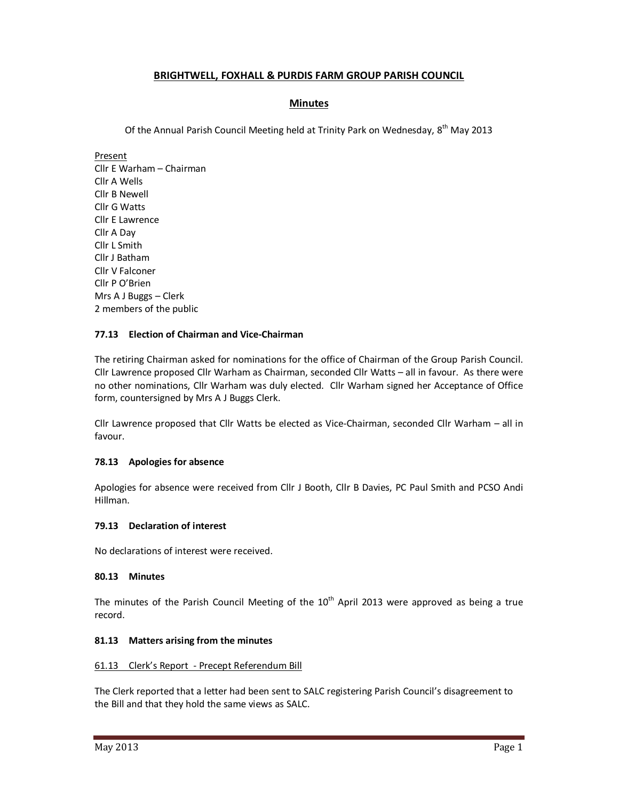# **BRIGHTWELL, FOXHALL & PURDIS FARM GROUP PARISH COUNCIL**

## **Minutes**

Of the Annual Parish Council Meeting held at Trinity Park on Wednesday, 8<sup>th</sup> May 2013

Present Cllr E Warham – Chairman Cllr A Wells Cllr B Newell Cllr G Watts Cllr E Lawrence Cllr A Day Cllr L Smith Cllr J Batham Cllr V Falconer Cllr P O'Brien Mrs A J Buggs – Clerk 2 members of the public

## **77.13 Election of Chairman and Vice-Chairman**

The retiring Chairman asked for nominations for the office of Chairman of the Group Parish Council. Cllr Lawrence proposed Cllr Warham as Chairman, seconded Cllr Watts – all in favour. As there were no other nominations, Cllr Warham was duly elected. Cllr Warham signed her Acceptance of Office form, countersigned by Mrs A J Buggs Clerk.

Cllr Lawrence proposed that Cllr Watts be elected as Vice-Chairman, seconded Cllr Warham – all in favour.

## **78.13 Apologies for absence**

Apologies for absence were received from Cllr J Booth, Cllr B Davies, PC Paul Smith and PCSO Andi Hillman.

## **79.13 Declaration of interest**

No declarations of interest were received.

## **80.13 Minutes**

The minutes of the Parish Council Meeting of the  $10<sup>th</sup>$  April 2013 were approved as being a true record.

## **81.13 Matters arising from the minutes**

#### 61.13 Clerk's Report - Precept Referendum Bill

The Clerk reported that a letter had been sent to SALC registering Parish Council's disagreement to the Bill and that they hold the same views as SALC.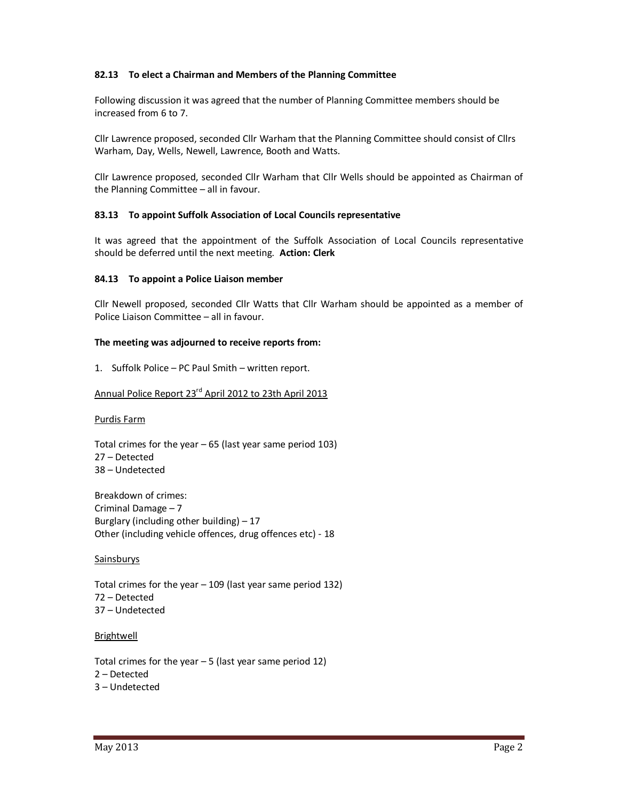### **82.13 To elect a Chairman and Members of the Planning Committee**

Following discussion it was agreed that the number of Planning Committee members should be increased from 6 to 7.

Cllr Lawrence proposed, seconded Cllr Warham that the Planning Committee should consist of Cllrs Warham, Day, Wells, Newell, Lawrence, Booth and Watts.

Cllr Lawrence proposed, seconded Cllr Warham that Cllr Wells should be appointed as Chairman of the Planning Committee – all in favour.

### **83.13 To appoint Suffolk Association of Local Councils representative**

It was agreed that the appointment of the Suffolk Association of Local Councils representative should be deferred until the next meeting. **Action: Clerk** 

#### **84.13 To appoint a Police Liaison member**

Cllr Newell proposed, seconded Cllr Watts that Cllr Warham should be appointed as a member of Police Liaison Committee – all in favour.

#### **The meeting was adjourned to receive reports from:**

1. Suffolk Police – PC Paul Smith – written report.

# Annual Police Report 23rd April 2012 to 23th April 2013

Purdis Farm

Total crimes for the year – 65 (last year same period 103) 27 – Detected 38 – Undetected

Breakdown of crimes: Criminal Damage – 7 Burglary (including other building)  $-17$ Other (including vehicle offences, drug offences etc) - 18

#### Sainsburys

Total crimes for the year – 109 (last year same period 132) 72 – Detected 37 – Undetected

#### Brightwell

Total crimes for the year  $-5$  (last year same period 12) 2 – Detected 3 – Undetected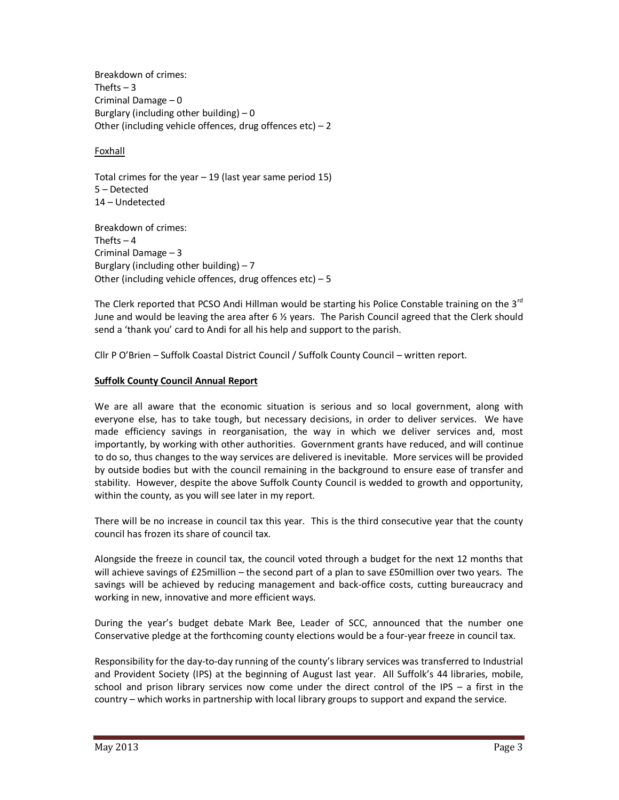Breakdown of crimes: Thefts  $-3$ Criminal Damage – 0 Burglary (including other building)  $-0$ Other (including vehicle offences, drug offences etc)  $-2$ 

Foxhall

Total crimes for the year  $-19$  (last year same period 15) 5 – Detected 14 – Undetected

Breakdown of crimes: Thefts  $-4$ Criminal Damage – 3 Burglary (including other building)  $-7$ Other (including vehicle offences, drug offences etc)  $-5$ 

The Clerk reported that PCSO Andi Hillman would be starting his Police Constable training on the  $3^{rd}$ June and would be leaving the area after 6 ½ years. The Parish Council agreed that the Clerk should send a 'thank you' card to Andi for all his help and support to the parish.

Cllr P O'Brien – Suffolk Coastal District Council / Suffolk County Council – written report.

# **Suffolk County Council Annual Report**

We are all aware that the economic situation is serious and so local government, along with everyone else, has to take tough, but necessary decisions, in order to deliver services. We have made efficiency savings in reorganisation, the way in which we deliver services and, most importantly, by working with other authorities. Government grants have reduced, and will continue to do so, thus changes to the way services are delivered is inevitable. More services will be provided by outside bodies but with the council remaining in the background to ensure ease of transfer and stability. However, despite the above Suffolk County Council is wedded to growth and opportunity, within the county, as you will see later in my report.

There will be no increase in council tax this year. This is the third consecutive year that the county council has frozen its share of council tax.

Alongside the freeze in council tax, the council voted through a budget for the next 12 months that will achieve savings of £25million – the second part of a plan to save £50million over two years. The savings will be achieved by reducing management and back-office costs, cutting bureaucracy and working in new, innovative and more efficient ways.

During the year's budget debate Mark Bee, Leader of SCC, announced that the number one Conservative pledge at the forthcoming county elections would be a four-year freeze in council tax.

Responsibility for the day-to-day running of the county's library services was transferred to Industrial and Provident Society (IPS) at the beginning of August last year. All Suffolk's 44 libraries, mobile, school and prison library services now come under the direct control of the IPS – a first in the country – which works in partnership with local library groups to support and expand the service.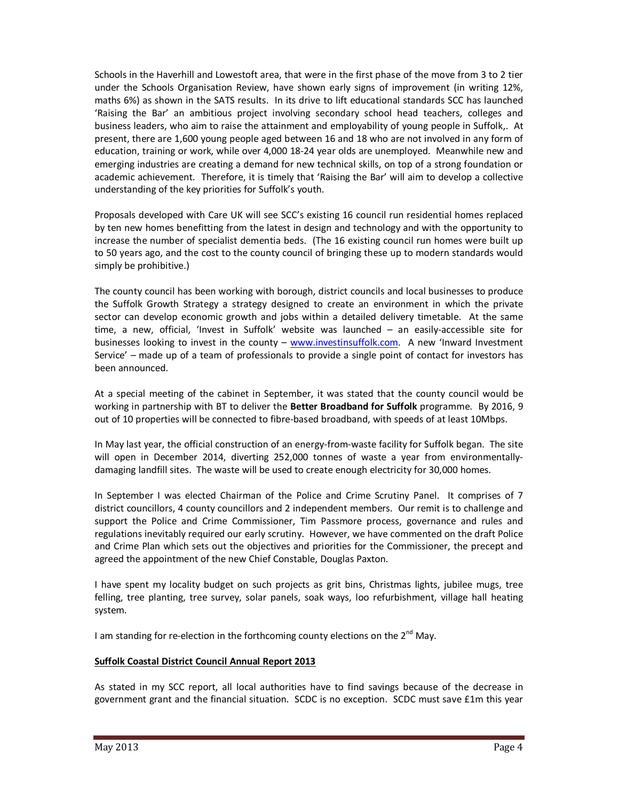Schools in the Haverhill and Lowestoft area, that were in the first phase of the move from 3 to 2 tier under the Schools Organisation Review, have shown early signs of improvement (in writing 12%, maths 6%) as shown in the SATS results. In its drive to lift educational standards SCC has launched 'Raising the Bar' an ambitious project involving secondary school head teachers, colleges and business leaders, who aim to raise the attainment and employability of young people in Suffolk,. At present, there are 1,600 young people aged between 16 and 18 who are not involved in any form of education, training or work, while over 4,000 18-24 year olds are unemployed. Meanwhile new and emerging industries are creating a demand for new technical skills, on top of a strong foundation or academic achievement. Therefore, it is timely that 'Raising the Bar' will aim to develop a collective understanding of the key priorities for Suffolk's youth.

Proposals developed with Care UK will see SCC's existing 16 council run residential homes replaced by ten new homes benefitting from the latest in design and technology and with the opportunity to increase the number of specialist dementia beds. (The 16 existing council run homes were built up to 50 years ago, and the cost to the county council of bringing these up to modern standards would simply be prohibitive.)

The county council has been working with borough, district councils and local businesses to produce the Suffolk Growth Strategy a strategy designed to create an environment in which the private sector can develop economic growth and jobs within a detailed delivery timetable. At the same time, a new, official, 'Invest in Suffolk' website was launched – an easily-accessible site for businesses looking to invest in the county –  $www.investinsuffolk.com$ . A new 'Inward Investment Service' – made up of a team of professionals to provide a single point of contact for investors has been announced.

At a special meeting of the cabinet in September, it was stated that the county council would be working in partnership with BT to deliver the **Better Broadband for Suffolk** programme. By 2016, 9 out of 10 properties will be connected to fibre-based broadband, with speeds of at least 10Mbps.

In May last year, the official construction of an energy-from-waste facility for Suffolk began. The site will open in December 2014, diverting 252,000 tonnes of waste a year from environmentallydamaging landfill sites. The waste will be used to create enough electricity for 30,000 homes.

In September I was elected Chairman of the Police and Crime Scrutiny Panel. It comprises of 7 district councillors, 4 county councillors and 2 independent members. Our remit is to challenge and support the Police and Crime Commissioner, Tim Passmore process, governance and rules and regulations inevitably required our early scrutiny. However, we have commented on the draft Police and Crime Plan which sets out the objectives and priorities for the Commissioner, the precept and agreed the appointment of the new Chief Constable, Douglas Paxton.

I have spent my locality budget on such projects as grit bins, Christmas lights, jubilee mugs, tree felling, tree planting, tree survey, solar panels, soak ways, loo refurbishment, village hall heating system.

I am standing for re-election in the forthcoming county elections on the  $2^{nd}$  May.

## **Suffolk Coastal District Council Annual Report 2013**

As stated in my SCC report, all local authorities have to find savings because of the decrease in government grant and the financial situation. SCDC is no exception. SCDC must save £1m this year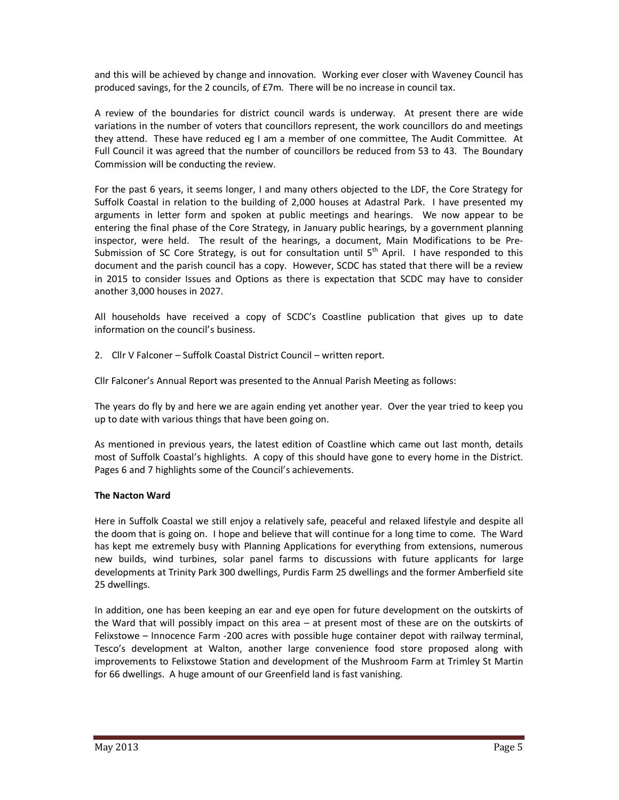and this will be achieved by change and innovation. Working ever closer with Waveney Council has produced savings, for the 2 councils, of £7m. There will be no increase in council tax.

A review of the boundaries for district council wards is underway. At present there are wide variations in the number of voters that councillors represent, the work councillors do and meetings they attend. These have reduced eg I am a member of one committee, The Audit Committee. At Full Council it was agreed that the number of councillors be reduced from 53 to 43. The Boundary Commission will be conducting the review.

For the past 6 years, it seems longer, I and many others objected to the LDF, the Core Strategy for Suffolk Coastal in relation to the building of 2,000 houses at Adastral Park. I have presented my arguments in letter form and spoken at public meetings and hearings. We now appear to be entering the final phase of the Core Strategy, in January public hearings, by a government planning inspector, were held. The result of the hearings, a document, Main Modifications to be Pre-Submission of SC Core Strategy, is out for consultation until  $5<sup>th</sup>$  April. I have responded to this document and the parish council has a copy. However, SCDC has stated that there will be a review in 2015 to consider Issues and Options as there is expectation that SCDC may have to consider another 3,000 houses in 2027.

All households have received a copy of SCDC's Coastline publication that gives up to date information on the council's business.

2. Cllr V Falconer – Suffolk Coastal District Council – written report.

Cllr Falconer's Annual Report was presented to the Annual Parish Meeting as follows:

The years do fly by and here we are again ending yet another year. Over the year tried to keep you up to date with various things that have been going on.

As mentioned in previous years, the latest edition of Coastline which came out last month, details most of Suffolk Coastal's highlights. A copy of this should have gone to every home in the District. Pages 6 and 7 highlights some of the Council's achievements.

## **The Nacton Ward**

Here in Suffolk Coastal we still enjoy a relatively safe, peaceful and relaxed lifestyle and despite all the doom that is going on. I hope and believe that will continue for a long time to come. The Ward has kept me extremely busy with Planning Applications for everything from extensions, numerous new builds, wind turbines, solar panel farms to discussions with future applicants for large developments at Trinity Park 300 dwellings, Purdis Farm 25 dwellings and the former Amberfield site 25 dwellings.

In addition, one has been keeping an ear and eye open for future development on the outskirts of the Ward that will possibly impact on this area – at present most of these are on the outskirts of Felixstowe – Innocence Farm -200 acres with possible huge container depot with railway terminal, Tesco's development at Walton, another large convenience food store proposed along with improvements to Felixstowe Station and development of the Mushroom Farm at Trimley St Martin for 66 dwellings. A huge amount of our Greenfield land is fast vanishing.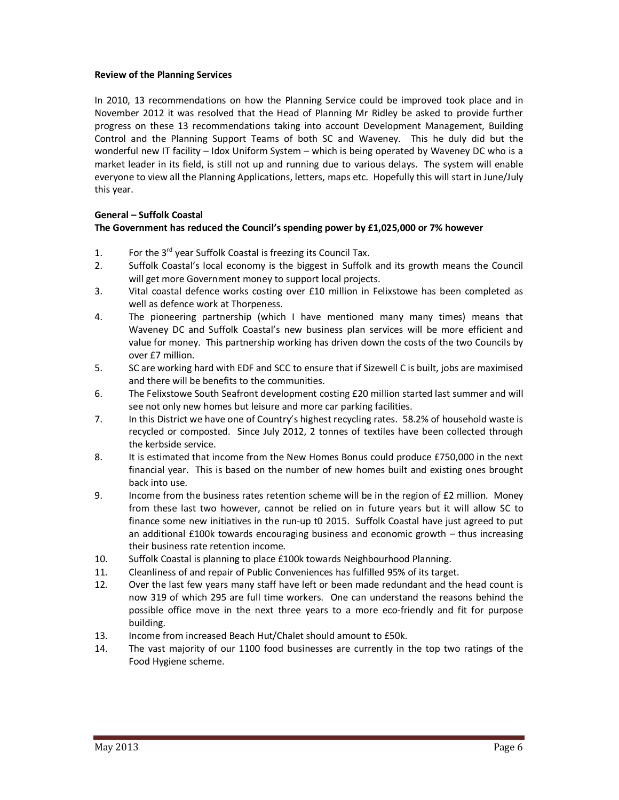### **Review of the Planning Services**

In 2010, 13 recommendations on how the Planning Service could be improved took place and in November 2012 it was resolved that the Head of Planning Mr Ridley be asked to provide further progress on these 13 recommendations taking into account Development Management, Building Control and the Planning Support Teams of both SC and Waveney. This he duly did but the wonderful new IT facility – Idox Uniform System – which is being operated by Waveney DC who is a market leader in its field, is still not up and running due to various delays. The system will enable everyone to view all the Planning Applications, letters, maps etc. Hopefully this will start in June/July this year.

# **General – Suffolk Coastal**

# **The Government has reduced the Council's spending power by £1,025,000 or 7% however**

- 1. For the  $3^{rd}$  year Suffolk Coastal is freezing its Council Tax.
- 2. Suffolk Coastal's local economy is the biggest in Suffolk and its growth means the Council will get more Government money to support local projects.
- 3. Vital coastal defence works costing over £10 million in Felixstowe has been completed as well as defence work at Thorpeness.
- 4. The pioneering partnership (which I have mentioned many many times) means that Waveney DC and Suffolk Coastal's new business plan services will be more efficient and value for money. This partnership working has driven down the costs of the two Councils by over £7 million.
- 5. SC are working hard with EDF and SCC to ensure that if Sizewell C is built, jobs are maximised and there will be benefits to the communities.
- 6. The Felixstowe South Seafront development costing £20 million started last summer and will see not only new homes but leisure and more car parking facilities.
- 7. In this District we have one of Country's highest recycling rates. 58.2% of household waste is recycled or composted. Since July 2012, 2 tonnes of textiles have been collected through the kerbside service.
- 8. It is estimated that income from the New Homes Bonus could produce £750,000 in the next financial year. This is based on the number of new homes built and existing ones brought back into use.
- 9. Income from the business rates retention scheme will be in the region of £2 million. Money from these last two however, cannot be relied on in future years but it will allow SC to finance some new initiatives in the run-up t0 2015. Suffolk Coastal have just agreed to put an additional £100k towards encouraging business and economic growth – thus increasing their business rate retention income.
- 10. Suffolk Coastal is planning to place £100k towards Neighbourhood Planning.
- 11. Cleanliness of and repair of Public Conveniences has fulfilled 95% of its target.
- 12. Over the last few years many staff have left or been made redundant and the head count is now 319 of which 295 are full time workers. One can understand the reasons behind the possible office move in the next three years to a more eco-friendly and fit for purpose building.
- 13. Income from increased Beach Hut/Chalet should amount to £50k.
- 14. The vast majority of our 1100 food businesses are currently in the top two ratings of the Food Hygiene scheme.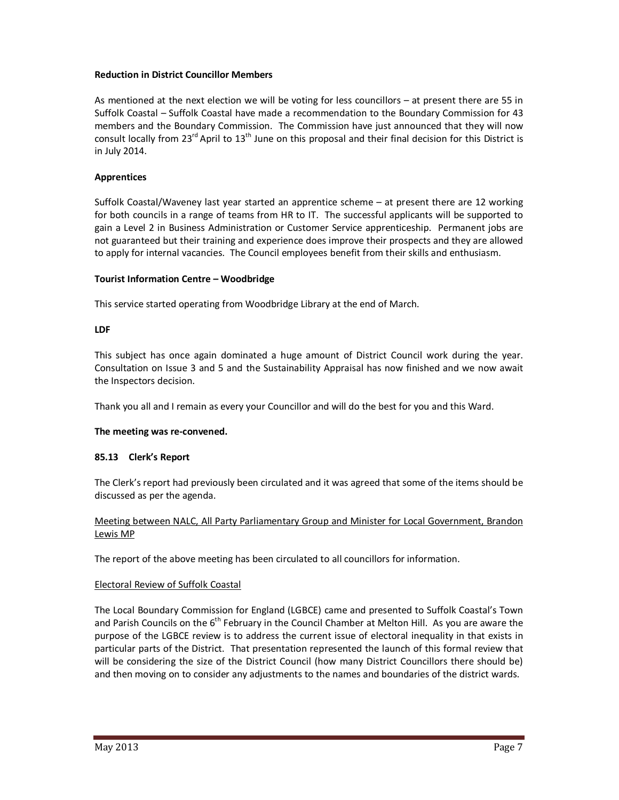## **Reduction in District Councillor Members**

As mentioned at the next election we will be voting for less councillors – at present there are 55 in Suffolk Coastal – Suffolk Coastal have made a recommendation to the Boundary Commission for 43 members and the Boundary Commission. The Commission have just announced that they will now consult locally from 23<sup>rd</sup> April to 13<sup>th</sup> June on this proposal and their final decision for this District is in July 2014.

### **Apprentices**

Suffolk Coastal/Waveney last year started an apprentice scheme – at present there are 12 working for both councils in a range of teams from HR to IT. The successful applicants will be supported to gain a Level 2 in Business Administration or Customer Service apprenticeship. Permanent jobs are not guaranteed but their training and experience does improve their prospects and they are allowed to apply for internal vacancies. The Council employees benefit from their skills and enthusiasm.

### **Tourist Information Centre – Woodbridge**

This service started operating from Woodbridge Library at the end of March.

### **LDF**

This subject has once again dominated a huge amount of District Council work during the year. Consultation on Issue 3 and 5 and the Sustainability Appraisal has now finished and we now await the Inspectors decision.

Thank you all and I remain as every your Councillor and will do the best for you and this Ward.

#### **The meeting was re-convened.**

#### **85.13 Clerk's Report**

The Clerk's report had previously been circulated and it was agreed that some of the items should be discussed as per the agenda.

## Meeting between NALC, All Party Parliamentary Group and Minister for Local Government, Brandon Lewis MP

The report of the above meeting has been circulated to all councillors for information.

#### Electoral Review of Suffolk Coastal

The Local Boundary Commission for England (LGBCE) came and presented to Suffolk Coastal's Town and Parish Councils on the 6<sup>th</sup> February in the Council Chamber at Melton Hill. As you are aware the purpose of the LGBCE review is to address the current issue of electoral inequality in that exists in particular parts of the District. That presentation represented the launch of this formal review that will be considering the size of the District Council (how many District Councillors there should be) and then moving on to consider any adjustments to the names and boundaries of the district wards.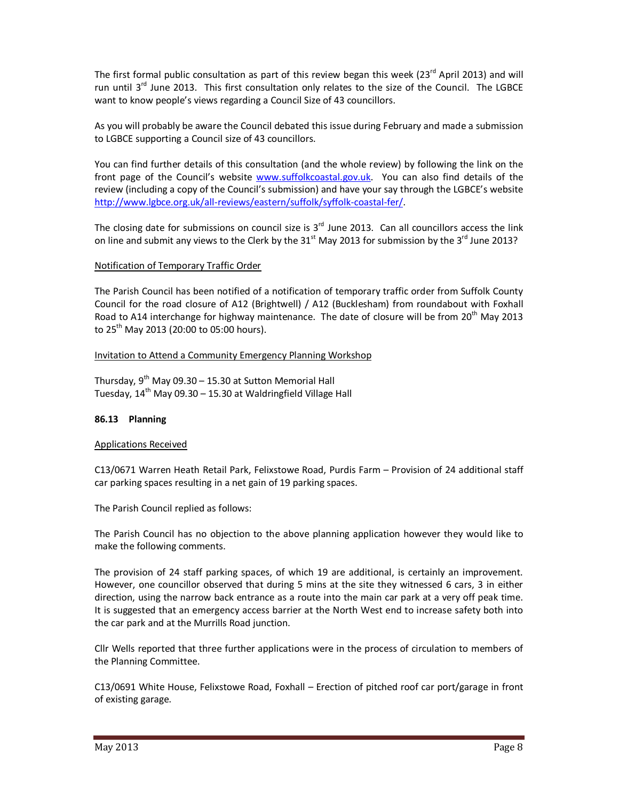The first formal public consultation as part of this review began this week (23<sup>rd</sup> April 2013) and will run until  $3^{rd}$  June 2013. This first consultation only relates to the size of the Council. The LGBCE want to know people's views regarding a Council Size of 43 councillors.

As you will probably be aware the Council debated this issue during February and made a submission to LGBCE supporting a Council size of 43 councillors.

You can find further details of this consultation (and the whole review) by following the link on the front page of the Council's website www.suffolkcoastal.gov.uk. You can also find details of the review (including a copy of the Council's submission) and have your say through the LGBCE's website http://www.lgbce.org.uk/all-reviews/eastern/suffolk/syffolk-coastal-fer/.

The closing date for submissions on council size is  $3<sup>rd</sup>$  June 2013. Can all councillors access the link on line and submit any views to the Clerk by the  $31<sup>st</sup>$  May 2013 for submission by the  $3<sup>rd</sup>$  June 2013?

### Notification of Temporary Traffic Order

The Parish Council has been notified of a notification of temporary traffic order from Suffolk County Council for the road closure of A12 (Brightwell) / A12 (Bucklesham) from roundabout with Foxhall Road to A14 interchange for highway maintenance. The date of closure will be from  $20^{th}$  May 2013 to  $25^{th}$  May 2013 (20:00 to 05:00 hours).

### Invitation to Attend a Community Emergency Planning Workshop

Thursday,  $9^{th}$  May 09.30 – 15.30 at Sutton Memorial Hall Tuesday,  $14<sup>th</sup>$  May 09.30 – 15.30 at Waldringfield Village Hall

## **86.13 Planning**

## Applications Received

C13/0671 Warren Heath Retail Park, Felixstowe Road, Purdis Farm – Provision of 24 additional staff car parking spaces resulting in a net gain of 19 parking spaces.

The Parish Council replied as follows:

The Parish Council has no objection to the above planning application however they would like to make the following comments.

The provision of 24 staff parking spaces, of which 19 are additional, is certainly an improvement. However, one councillor observed that during 5 mins at the site they witnessed 6 cars, 3 in either direction, using the narrow back entrance as a route into the main car park at a very off peak time. It is suggested that an emergency access barrier at the North West end to increase safety both into the car park and at the Murrills Road junction.

Cllr Wells reported that three further applications were in the process of circulation to members of the Planning Committee.

C13/0691 White House, Felixstowe Road, Foxhall – Erection of pitched roof car port/garage in front of existing garage.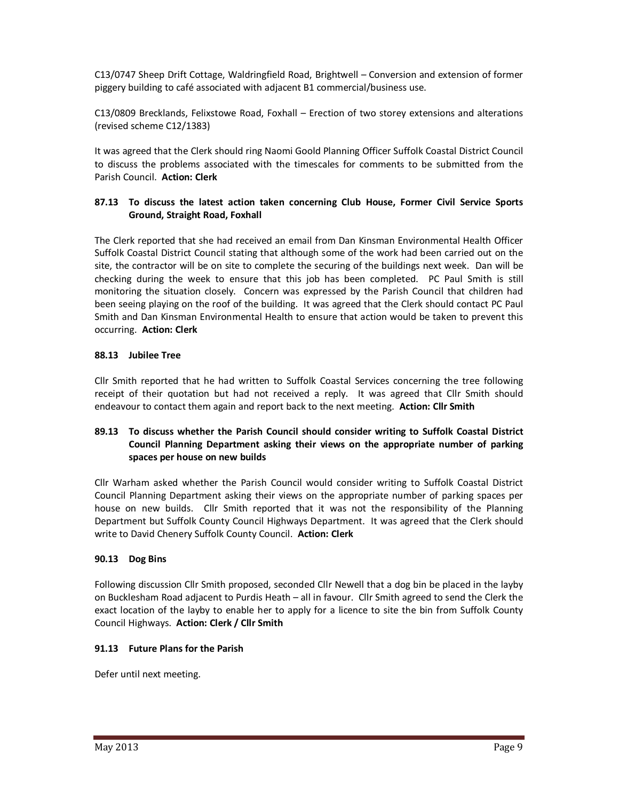C13/0747 Sheep Drift Cottage, Waldringfield Road, Brightwell – Conversion and extension of former piggery building to café associated with adjacent B1 commercial/business use.

C13/0809 Brecklands, Felixstowe Road, Foxhall – Erection of two storey extensions and alterations (revised scheme C12/1383)

It was agreed that the Clerk should ring Naomi Goold Planning Officer Suffolk Coastal District Council to discuss the problems associated with the timescales for comments to be submitted from the Parish Council. **Action: Clerk** 

# **87.13 To discuss the latest action taken concerning Club House, Former Civil Service Sports Ground, Straight Road, Foxhall**

The Clerk reported that she had received an email from Dan Kinsman Environmental Health Officer Suffolk Coastal District Council stating that although some of the work had been carried out on the site, the contractor will be on site to complete the securing of the buildings next week. Dan will be checking during the week to ensure that this job has been completed. PC Paul Smith is still monitoring the situation closely. Concern was expressed by the Parish Council that children had been seeing playing on the roof of the building. It was agreed that the Clerk should contact PC Paul Smith and Dan Kinsman Environmental Health to ensure that action would be taken to prevent this occurring. **Action: Clerk** 

# **88.13 Jubilee Tree**

Cllr Smith reported that he had written to Suffolk Coastal Services concerning the tree following receipt of their quotation but had not received a reply. It was agreed that Cllr Smith should endeavour to contact them again and report back to the next meeting. **Action: Cllr Smith** 

## **89.13 To discuss whether the Parish Council should consider writing to Suffolk Coastal District Council Planning Department asking their views on the appropriate number of parking spaces per house on new builds**

Cllr Warham asked whether the Parish Council would consider writing to Suffolk Coastal District Council Planning Department asking their views on the appropriate number of parking spaces per house on new builds. Cllr Smith reported that it was not the responsibility of the Planning Department but Suffolk County Council Highways Department. It was agreed that the Clerk should write to David Chenery Suffolk County Council. **Action: Clerk** 

## **90.13 Dog Bins**

Following discussion Cllr Smith proposed, seconded Cllr Newell that a dog bin be placed in the layby on Bucklesham Road adjacent to Purdis Heath – all in favour. Cllr Smith agreed to send the Clerk the exact location of the layby to enable her to apply for a licence to site the bin from Suffolk County Council Highways. **Action: Clerk / Cllr Smith** 

## **91.13 Future Plans for the Parish**

Defer until next meeting.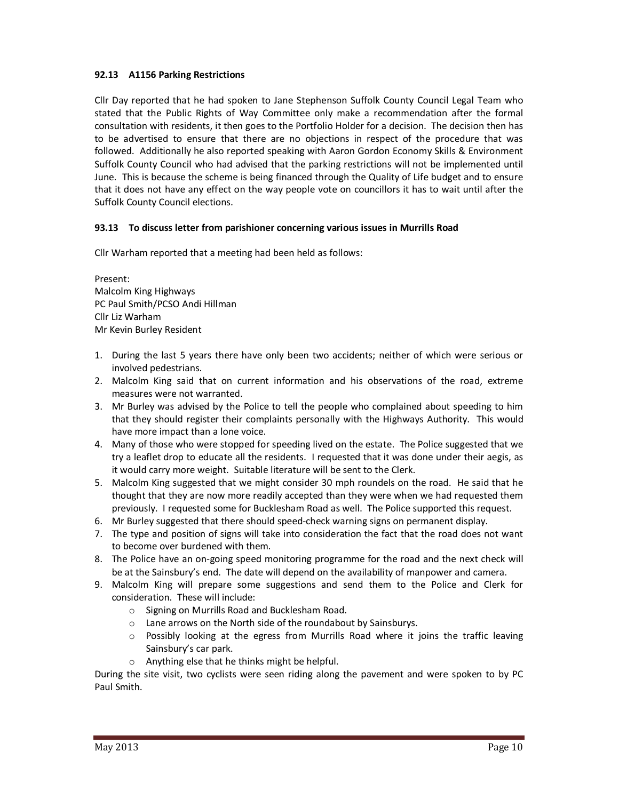# **92.13 A1156 Parking Restrictions**

Cllr Day reported that he had spoken to Jane Stephenson Suffolk County Council Legal Team who stated that the Public Rights of Way Committee only make a recommendation after the formal consultation with residents, it then goes to the Portfolio Holder for a decision. The decision then has to be advertised to ensure that there are no objections in respect of the procedure that was followed. Additionally he also reported speaking with Aaron Gordon Economy Skills & Environment Suffolk County Council who had advised that the parking restrictions will not be implemented until June. This is because the scheme is being financed through the Quality of Life budget and to ensure that it does not have any effect on the way people vote on councillors it has to wait until after the Suffolk County Council elections.

# **93.13 To discuss letter from parishioner concerning various issues in Murrills Road**

Cllr Warham reported that a meeting had been held as follows:

Present: Malcolm King Highways PC Paul Smith/PCSO Andi Hillman Cllr Liz Warham Mr Kevin Burley Resident

- 1. During the last 5 years there have only been two accidents; neither of which were serious or involved pedestrians.
- 2. Malcolm King said that on current information and his observations of the road, extreme measures were not warranted.
- 3. Mr Burley was advised by the Police to tell the people who complained about speeding to him that they should register their complaints personally with the Highways Authority. This would have more impact than a lone voice.
- 4. Many of those who were stopped for speeding lived on the estate. The Police suggested that we try a leaflet drop to educate all the residents. I requested that it was done under their aegis, as it would carry more weight. Suitable literature will be sent to the Clerk.
- 5. Malcolm King suggested that we might consider 30 mph roundels on the road. He said that he thought that they are now more readily accepted than they were when we had requested them previously. I requested some for Bucklesham Road as well. The Police supported this request.
- 6. Mr Burley suggested that there should speed-check warning signs on permanent display.
- 7. The type and position of signs will take into consideration the fact that the road does not want to become over burdened with them.
- 8. The Police have an on-going speed monitoring programme for the road and the next check will be at the Sainsbury's end. The date will depend on the availability of manpower and camera.
- 9. Malcolm King will prepare some suggestions and send them to the Police and Clerk for consideration. These will include:
	- o Signing on Murrills Road and Bucklesham Road.
	- o Lane arrows on the North side of the roundabout by Sainsburys.
	- $\circ$  Possibly looking at the egress from Murrills Road where it joins the traffic leaving Sainsbury's car park.
	- o Anything else that he thinks might be helpful.

During the site visit, two cyclists were seen riding along the pavement and were spoken to by PC Paul Smith.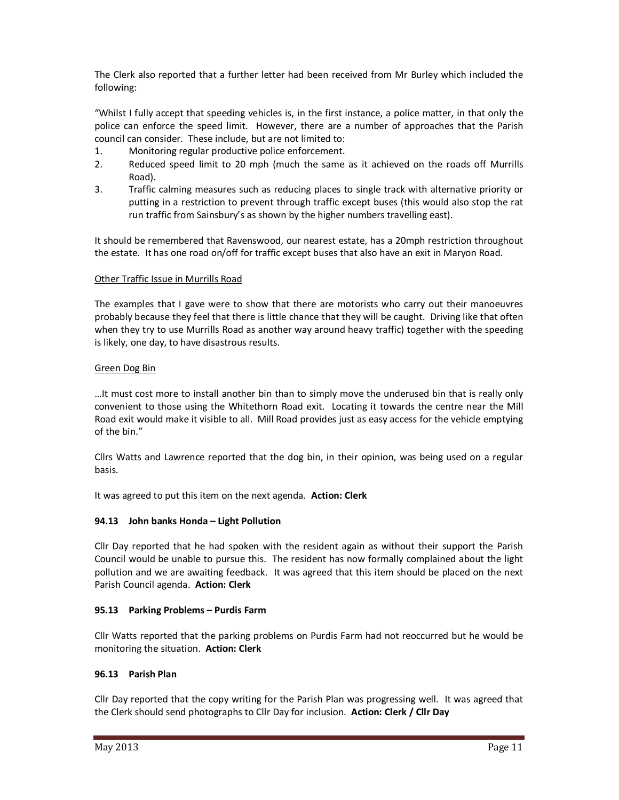The Clerk also reported that a further letter had been received from Mr Burley which included the following:

"Whilst I fully accept that speeding vehicles is, in the first instance, a police matter, in that only the police can enforce the speed limit. However, there are a number of approaches that the Parish council can consider. These include, but are not limited to:

- 1. Monitoring regular productive police enforcement.
- 2. Reduced speed limit to 20 mph (much the same as it achieved on the roads off Murrills Road).
- 3. Traffic calming measures such as reducing places to single track with alternative priority or putting in a restriction to prevent through traffic except buses (this would also stop the rat run traffic from Sainsbury's as shown by the higher numbers travelling east).

It should be remembered that Ravenswood, our nearest estate, has a 20mph restriction throughout the estate. It has one road on/off for traffic except buses that also have an exit in Maryon Road.

## Other Traffic Issue in Murrills Road

The examples that I gave were to show that there are motorists who carry out their manoeuvres probably because they feel that there is little chance that they will be caught. Driving like that often when they try to use Murrills Road as another way around heavy traffic) together with the speeding is likely, one day, to have disastrous results.

### Green Dog Bin

…It must cost more to install another bin than to simply move the underused bin that is really only convenient to those using the Whitethorn Road exit. Locating it towards the centre near the Mill Road exit would make it visible to all. Mill Road provides just as easy access for the vehicle emptying of the bin."

Cllrs Watts and Lawrence reported that the dog bin, in their opinion, was being used on a regular basis.

It was agreed to put this item on the next agenda. **Action: Clerk** 

## **94.13 John banks Honda – Light Pollution**

Cllr Day reported that he had spoken with the resident again as without their support the Parish Council would be unable to pursue this. The resident has now formally complained about the light pollution and we are awaiting feedback. It was agreed that this item should be placed on the next Parish Council agenda. **Action: Clerk** 

## **95.13 Parking Problems – Purdis Farm**

Cllr Watts reported that the parking problems on Purdis Farm had not reoccurred but he would be monitoring the situation. **Action: Clerk** 

#### **96.13 Parish Plan**

Cllr Day reported that the copy writing for the Parish Plan was progressing well. It was agreed that the Clerk should send photographs to Cllr Day for inclusion. **Action: Clerk / Cllr Day**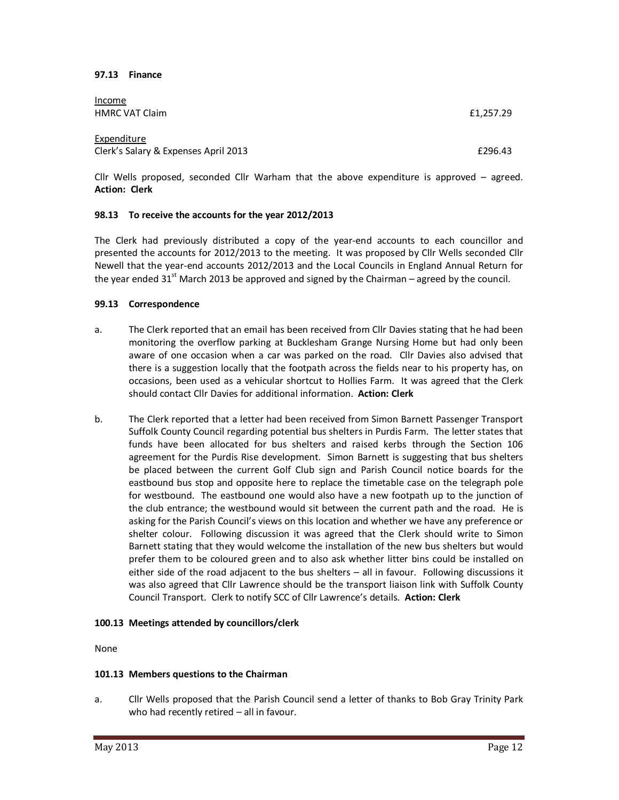#### **97.13 Finance**

| <u>Income</u><br><b>HMRC VAT Claim</b>              | £1,257.29 |
|-----------------------------------------------------|-----------|
| Expenditure<br>Clerk's Salary & Expenses April 2013 | £296.43   |

Cllr Wells proposed, seconded Cllr Warham that the above expenditure is approved – agreed. **Action: Clerk** 

#### **98.13 To receive the accounts for the year 2012/2013**

The Clerk had previously distributed a copy of the year-end accounts to each councillor and presented the accounts for 2012/2013 to the meeting. It was proposed by Cllr Wells seconded Cllr Newell that the year-end accounts 2012/2013 and the Local Councils in England Annual Return for the year ended  $31<sup>st</sup>$  March 2013 be approved and signed by the Chairman – agreed by the council.

#### **99.13 Correspondence**

- a. The Clerk reported that an email has been received from Cllr Davies stating that he had been monitoring the overflow parking at Bucklesham Grange Nursing Home but had only been aware of one occasion when a car was parked on the road. Cllr Davies also advised that there is a suggestion locally that the footpath across the fields near to his property has, on occasions, been used as a vehicular shortcut to Hollies Farm. It was agreed that the Clerk should contact Cllr Davies for additional information. **Action: Clerk**
- b. The Clerk reported that a letter had been received from Simon Barnett Passenger Transport Suffolk County Council regarding potential bus shelters in Purdis Farm. The letter states that funds have been allocated for bus shelters and raised kerbs through the Section 106 agreement for the Purdis Rise development. Simon Barnett is suggesting that bus shelters be placed between the current Golf Club sign and Parish Council notice boards for the eastbound bus stop and opposite here to replace the timetable case on the telegraph pole for westbound. The eastbound one would also have a new footpath up to the junction of the club entrance; the westbound would sit between the current path and the road. He is asking for the Parish Council's views on this location and whether we have any preference or shelter colour. Following discussion it was agreed that the Clerk should write to Simon Barnett stating that they would welcome the installation of the new bus shelters but would prefer them to be coloured green and to also ask whether litter bins could be installed on either side of the road adjacent to the bus shelters – all in favour. Following discussions it was also agreed that Cllr Lawrence should be the transport liaison link with Suffolk County Council Transport. Clerk to notify SCC of Cllr Lawrence's details. **Action: Clerk**

#### **100.13 Meetings attended by councillors/clerk**

None

#### **101.13 Members questions to the Chairman**

a. Cllr Wells proposed that the Parish Council send a letter of thanks to Bob Gray Trinity Park who had recently retired – all in favour.